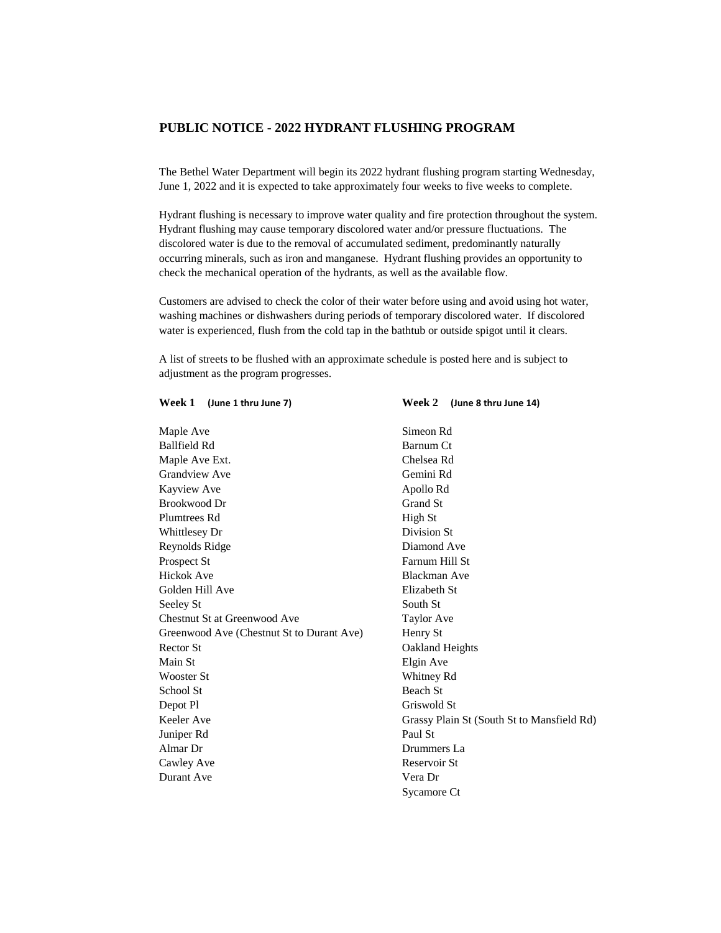## **PUBLIC NOTICE - 2022 HYDRANT FLUSHING PROGRAM**

The Bethel Water Department will begin its 2022 hydrant flushing program starting Wednesday, June 1, 2022 and it is expected to take approximately four weeks to five weeks to complete.

Hydrant flushing is necessary to improve water quality and fire protection throughout the system. Hydrant flushing may cause temporary discolored water and/or pressure fluctuations. The discolored water is due to the removal of accumulated sediment, predominantly naturally occurring minerals, such as iron and manganese. Hydrant flushing provides an opportunity to check the mechanical operation of the hydrants, as well as the available flow.

Customers are advised to check the color of their water before using and avoid using hot water, washing machines or dishwashers during periods of temporary discolored water. If discolored water is experienced, flush from the cold tap in the bathtub or outside spigot until it clears.

A list of streets to be flushed with an approximate schedule is posted here and is subject to adjustment as the program progresses.

**Week 1 (June 1 thru June 7) Week 2 (June 8 thru June 14)**

| Maple Ave                                 | Simeon Rd                                  |
|-------------------------------------------|--------------------------------------------|
| <b>Ballfield Rd</b>                       | Barnum Ct                                  |
| Maple Ave Ext.                            | Chelsea Rd                                 |
| <b>Grandview Ave</b>                      | Gemini Rd                                  |
| Kayview Ave                               | Apollo Rd                                  |
| Brookwood Dr                              | Grand St                                   |
| Plumtrees Rd                              | High St                                    |
| Whittlesey Dr                             | Division St                                |
| Reynolds Ridge                            | Diamond Ave                                |
| Prospect St                               | Farnum Hill St                             |
| Hickok Ave                                | <b>Blackman Ave</b>                        |
| Golden Hill Ave                           | Elizabeth St                               |
| Seeley St                                 | South St                                   |
| Chestnut St at Greenwood Ave              | <b>Taylor Ave</b>                          |
| Greenwood Ave (Chestnut St to Durant Ave) | Henry St                                   |
| Rector St.                                | <b>Oakland Heights</b>                     |
| Main St                                   | Elgin Ave                                  |
| Wooster St                                | Whitney Rd                                 |
| School St                                 | Beach St                                   |
| Depot Pl                                  | Griswold St                                |
| Keeler Ave                                | Grassy Plain St (South St to Mansfield Rd) |
| Juniper Rd                                | Paul St                                    |
| Almar Dr                                  | Drummers La                                |
| Cawley Ave                                | Reservoir St                               |
| Durant Ave                                | Vera Dr                                    |
|                                           | Sycamore Ct                                |